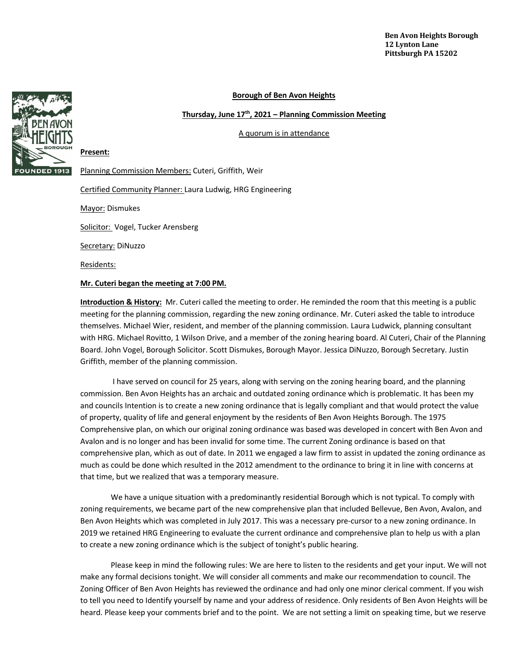## **Borough of Ben Avon Heights**

**Thursday, June 17th, 2021 – Planning Commission Meeting**

A quorum is in attendance



# Planning Commission Members: Cuteri, Griffith, Weir

Certified Community Planner: Laura Ludwig, HRG Engineering

Mayor: Dismukes

Solicitor: Vogel, Tucker Arensberg

Secretary: DiNuzzo

Residents:

**Present:** 

## **Mr. Cuteri began the meeting at 7:00 PM.**

**Introduction & History:** Mr. Cuteri called the meeting to order. He reminded the room that this meeting is a public meeting for the planning commission, regarding the new zoning ordinance. Mr. Cuteri asked the table to introduce themselves. Michael Wier, resident, and member of the planning commission. Laura Ludwick, planning consultant with HRG. Michael Rovitto, 1 Wilson Drive, and a member of the zoning hearing board. Al Cuteri, Chair of the Planning Board. John Vogel, Borough Solicitor. Scott Dismukes, Borough Mayor. Jessica DiNuzzo, Borough Secretary. Justin Griffith, member of the planning commission.

I have served on council for 25 years, along with serving on the zoning hearing board, and the planning commission. Ben Avon Heights has an archaic and outdated zoning ordinance which is problematic. It has been my and councils Intention is to create a new zoning ordinance that is legally compliant and that would protect the value of property, quality of life and general enjoyment by the residents of Ben Avon Heights Borough. The 1975 Comprehensive plan, on which our original zoning ordinance was based was developed in concert with Ben Avon and Avalon and is no longer and has been invalid for some time. The current Zoning ordinance is based on that comprehensive plan, which as out of date. In 2011 we engaged a law firm to assist in updated the zoning ordinance as much as could be done which resulted in the 2012 amendment to the ordinance to bring it in line with concerns at that time, but we realized that was a temporary measure.

We have a unique situation with a predominantly residential Borough which is not typical. To comply with zoning requirements, we became part of the new comprehensive plan that included Bellevue, Ben Avon, Avalon, and Ben Avon Heights which was completed in July 2017. This was a necessary pre-cursor to a new zoning ordinance. In 2019 we retained HRG Engineering to evaluate the current ordinance and comprehensive plan to help us with a plan to create a new zoning ordinance which is the subject of tonight's public hearing.

Please keep in mind the following rules: We are here to listen to the residents and get your input. We will not make any formal decisions tonight. We will consider all comments and make our recommendation to council. The Zoning Officer of Ben Avon Heights has reviewed the ordinance and had only one minor clerical comment. If you wish to tell you need to Identify yourself by name and your address of residence. Only residents of Ben Avon Heights will be heard. Please keep your comments brief and to the point. We are not setting a limit on speaking time, but we reserve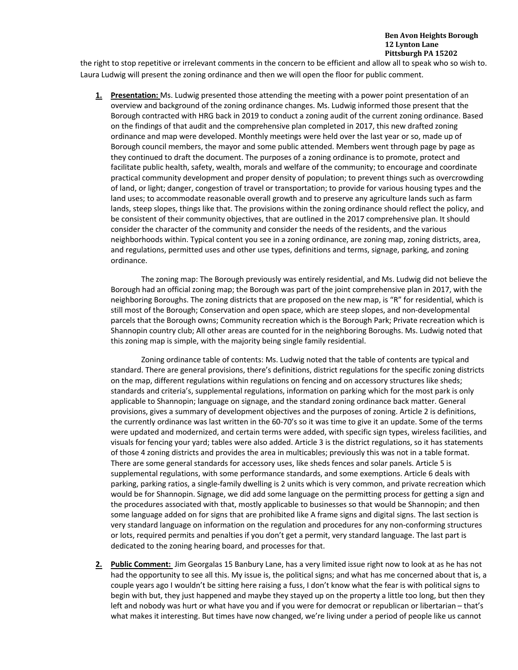the right to stop repetitive or irrelevant comments in the concern to be efficient and allow all to speak who so wish to. Laura Ludwig will present the zoning ordinance and then we will open the floor for public comment.

**1. Presentation:** Ms. Ludwig presented those attending the meeting with a power point presentation of an overview and background of the zoning ordinance changes. Ms. Ludwig informed those present that the Borough contracted with HRG back in 2019 to conduct a zoning audit of the current zoning ordinance. Based on the findings of that audit and the comprehensive plan completed in 2017, this new drafted zoning ordinance and map were developed. Monthly meetings were held over the last year or so, made up of Borough council members, the mayor and some public attended. Members went through page by page as they continued to draft the document. The purposes of a zoning ordinance is to promote, protect and facilitate public health, safety, wealth, morals and welfare of the community; to encourage and coordinate practical community development and proper density of population; to prevent things such as overcrowding of land, or light; danger, congestion of travel or transportation; to provide for various housing types and the land uses; to accommodate reasonable overall growth and to preserve any agriculture lands such as farm lands, steep slopes, things like that. The provisions within the zoning ordinance should reflect the policy, and be consistent of their community objectives, that are outlined in the 2017 comprehensive plan. It should consider the character of the community and consider the needs of the residents, and the various neighborhoods within. Typical content you see in a zoning ordinance, are zoning map, zoning districts, area, and regulations, permitted uses and other use types, definitions and terms, signage, parking, and zoning ordinance.

The zoning map: The Borough previously was entirely residential, and Ms. Ludwig did not believe the Borough had an official zoning map; the Borough was part of the joint comprehensive plan in 2017, with the neighboring Boroughs. The zoning districts that are proposed on the new map, is "R" for residential, which is still most of the Borough; Conservation and open space, which are steep slopes, and non-developmental parcels that the Borough owns; Community recreation which is the Borough Park; Private recreation which is Shannopin country club; All other areas are counted for in the neighboring Boroughs. Ms. Ludwig noted that this zoning map is simple, with the majority being single family residential.

Zoning ordinance table of contents: Ms. Ludwig noted that the table of contents are typical and standard. There are general provisions, there's definitions, district regulations for the specific zoning districts on the map, different regulations within regulations on fencing and on accessory structures like sheds; standards and criteria's, supplemental regulations, information on parking which for the most park is only applicable to Shannopin; language on signage, and the standard zoning ordinance back matter. General provisions, gives a summary of development objectives and the purposes of zoning. Article 2 is definitions, the currently ordinance was last written in the 60-70's so it was time to give it an update. Some of the terms were updated and modernized, and certain terms were added, with specific sign types, wireless facilities, and visuals for fencing your yard; tables were also added. Article 3 is the district regulations, so it has statements of those 4 zoning districts and provides the area in multicables; previously this was not in a table format. There are some general standards for accessory uses, like sheds fences and solar panels. Article 5 is supplemental regulations, with some performance standards, and some exemptions. Article 6 deals with parking, parking ratios, a single-family dwelling is 2 units which is very common, and private recreation which would be for Shannopin. Signage, we did add some language on the permitting process for getting a sign and the procedures associated with that, mostly applicable to businesses so that would be Shannopin; and then some language added on for signs that are prohibited like A frame signs and digital signs. The last section is very standard language on information on the regulation and procedures for any non-conforming structures or lots, required permits and penalties if you don't get a permit, very standard language. The last part is dedicated to the zoning hearing board, and processes for that.

**2. Public Comment:** Jim Georgalas 15 Banbury Lane, has a very limited issue right now to look at as he has not had the opportunity to see all this. My issue is, the political signs; and what has me concerned about that is, a couple years ago I wouldn't be sitting here raising a fuss, I don't know what the fear is with political signs to begin with but, they just happened and maybe they stayed up on the property a little too long, but then they left and nobody was hurt or what have you and if you were for democrat or republican or libertarian – that's what makes it interesting. But times have now changed, we're living under a period of people like us cannot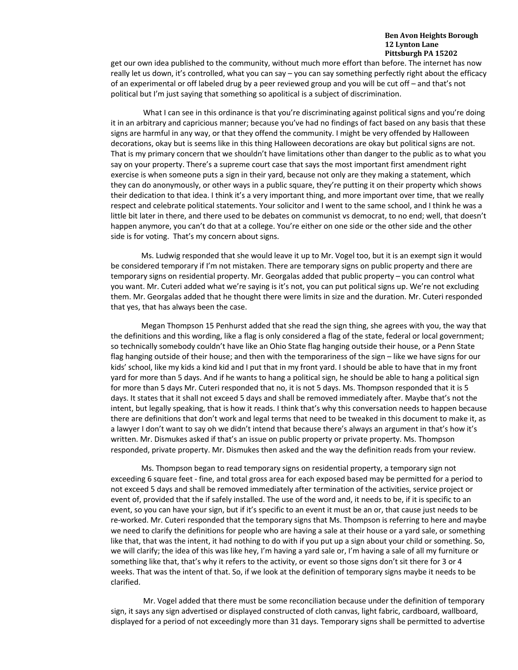get our own idea published to the community, without much more effort than before. The internet has now really let us down, it's controlled, what you can say – you can say something perfectly right about the efficacy of an experimental or off labeled drug by a peer reviewed group and you will be cut off – and that's not political but I'm just saying that something so apolitical is a subject of discrimination.

What I can see in this ordinance is that you're discriminating against political signs and you're doing it in an arbitrary and capricious manner; because you've had no findings of fact based on any basis that these signs are harmful in any way, or that they offend the community. I might be very offended by Halloween decorations, okay but is seems like in this thing Halloween decorations are okay but political signs are not. That is my primary concern that we shouldn't have limitations other than danger to the public as to what you say on your property. There's a supreme court case that says the most important first amendment right exercise is when someone puts a sign in their yard, because not only are they making a statement, which they can do anonymously, or other ways in a public square, they're putting it on their property which shows their dedication to that idea. I think it's a very important thing, and more important over time, that we really respect and celebrate political statements. Your solicitor and I went to the same school, and I think he was a little bit later in there, and there used to be debates on communist vs democrat, to no end; well, that doesn't happen anymore, you can't do that at a college. You're either on one side or the other side and the other side is for voting. That's my concern about signs.

Ms. Ludwig responded that she would leave it up to Mr. Vogel too, but it is an exempt sign it would be considered temporary if I'm not mistaken. There are temporary signs on public property and there are temporary signs on residential property. Mr. Georgalas added that public property – you can control what you want. Mr. Cuteri added what we're saying is it's not, you can put political signs up. We're not excluding them. Mr. Georgalas added that he thought there were limits in size and the duration. Mr. Cuteri responded that yes, that has always been the case.

Megan Thompson 15 Penhurst added that she read the sign thing, she agrees with you, the way that the definitions and this wording, like a flag is only considered a flag of the state, federal or local government; so technically somebody couldn't have like an Ohio State flag hanging outside their house, or a Penn State flag hanging outside of their house; and then with the temporariness of the sign – like we have signs for our kids' school, like my kids a kind kid and I put that in my front yard. I should be able to have that in my front yard for more than 5 days. And if he wants to hang a political sign, he should be able to hang a political sign for more than 5 days Mr. Cuteri responded that no, it is not 5 days. Ms. Thompson responded that it is 5 days. It states that it shall not exceed 5 days and shall be removed immediately after. Maybe that's not the intent, but legally speaking, that is how it reads. I think that's why this conversation needs to happen because there are definitions that don't work and legal terms that need to be tweaked in this document to make it, as a lawyer I don't want to say oh we didn't intend that because there's always an argument in that's how it's written. Mr. Dismukes asked if that's an issue on public property or private property. Ms. Thompson responded, private property. Mr. Dismukes then asked and the way the definition reads from your review.

Ms. Thompson began to read temporary signs on residential property, a temporary sign not exceeding 6 square feet - fine, and total gross area for each exposed based may be permitted for a period to not exceed 5 days and shall be removed immediately after termination of the activities, service project or event of, provided that the if safely installed. The use of the word and, it needs to be, if it is specific to an event, so you can have your sign, but if it's specific to an event it must be an or, that cause just needs to be re-worked. Mr. Cuteri responded that the temporary signs that Ms. Thompson is referring to here and maybe we need to clarify the definitions for people who are having a sale at their house or a yard sale, or something like that, that was the intent, it had nothing to do with if you put up a sign about your child or something. So, we will clarify; the idea of this was like hey, I'm having a yard sale or, I'm having a sale of all my furniture or something like that, that's why it refers to the activity, or event so those signs don't sit there for 3 or 4 weeks. That was the intent of that. So, if we look at the definition of temporary signs maybe it needs to be clarified.

Mr. Vogel added that there must be some reconciliation because under the definition of temporary sign, it says any sign advertised or displayed constructed of cloth canvas, light fabric, cardboard, wallboard, displayed for a period of not exceedingly more than 31 days. Temporary signs shall be permitted to advertise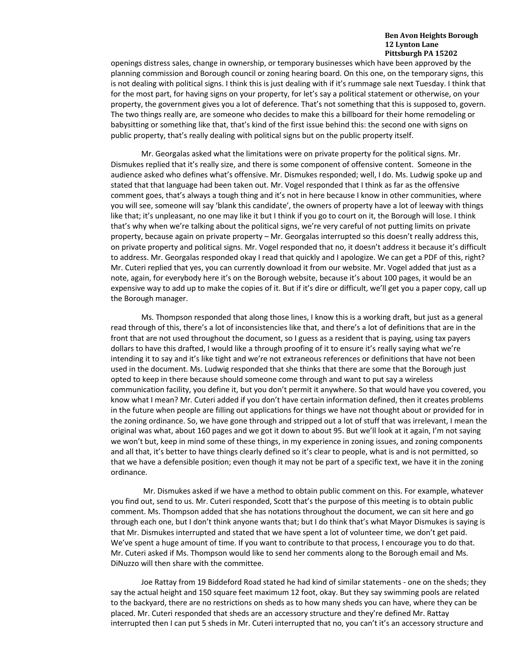openings distress sales, change in ownership, or temporary businesses which have been approved by the planning commission and Borough council or zoning hearing board. On this one, on the temporary signs, this is not dealing with political signs. I think this is just dealing with if it's rummage sale next Tuesday. I think that for the most part, for having signs on your property, for let's say a political statement or otherwise, on your property, the government gives you a lot of deference. That's not something that this is supposed to, govern. The two things really are, are someone who decides to make this a billboard for their home remodeling or babysitting or something like that, that's kind of the first issue behind this: the second one with signs on public property, that's really dealing with political signs but on the public property itself.

Mr. Georgalas asked what the limitations were on private property for the political signs. Mr. Dismukes replied that it's really size, and there is some component of offensive content. Someone in the audience asked who defines what's offensive. Mr. Dismukes responded; well, I do. Ms. Ludwig spoke up and stated that that language had been taken out. Mr. Vogel responded that I think as far as the offensive comment goes, that's always a tough thing and it's not in here because I know in other communities, where you will see, someone will say 'blank this candidate', the owners of property have a lot of leeway with things like that; it's unpleasant, no one may like it but I think if you go to court on it, the Borough will lose. I think that's why when we're talking about the political signs, we're very careful of not putting limits on private property, because again on private property – Mr. Georgalas interrupted so this doesn't really address this, on private property and political signs. Mr. Vogel responded that no, it doesn't address it because it's difficult to address. Mr. Georgalas responded okay I read that quickly and I apologize. We can get a PDF of this, right? Mr. Cuteri replied that yes, you can currently download it from our website. Mr. Vogel added that just as a note, again, for everybody here it's on the Borough website, because it's about 100 pages, it would be an expensive way to add up to make the copies of it. But if it's dire or difficult, we'll get you a paper copy, call up the Borough manager.

Ms. Thompson responded that along those lines, I know this is a working draft, but just as a general read through of this, there's a lot of inconsistencies like that, and there's a lot of definitions that are in the front that are not used throughout the document, so I guess as a resident that is paying, using tax payers dollars to have this drafted, I would like a through proofing of it to ensure it's really saying what we're intending it to say and it's like tight and we're not extraneous references or definitions that have not been used in the document. Ms. Ludwig responded that she thinks that there are some that the Borough just opted to keep in there because should someone come through and want to put say a wireless communication facility, you define it, but you don't permit it anywhere. So that would have you covered, you know what I mean? Mr. Cuteri added if you don't have certain information defined, then it creates problems in the future when people are filling out applications for things we have not thought about or provided for in the zoning ordinance. So, we have gone through and stripped out a lot of stuff that was irrelevant, I mean the original was what, about 160 pages and we got it down to about 95. But we'll look at it again, I'm not saying we won't but, keep in mind some of these things, in my experience in zoning issues, and zoning components and all that, it's better to have things clearly defined so it's clear to people, what is and is not permitted, so that we have a defensible position; even though it may not be part of a specific text, we have it in the zoning ordinance.

Mr. Dismukes asked if we have a method to obtain public comment on this. For example, whatever you find out, send to us. Mr. Cuteri responded, Scott that's the purpose of this meeting is to obtain public comment. Ms. Thompson added that she has notations throughout the document, we can sit here and go through each one, but I don't think anyone wants that; but I do think that's what Mayor Dismukes is saying is that Mr. Dismukes interrupted and stated that we have spent a lot of volunteer time, we don't get paid. We've spent a huge amount of time. If you want to contribute to that process, I encourage you to do that. Mr. Cuteri asked if Ms. Thompson would like to send her comments along to the Borough email and Ms. DiNuzzo will then share with the committee.

Joe Rattay from 19 Biddeford Road stated he had kind of similar statements - one on the sheds; they say the actual height and 150 square feet maximum 12 foot, okay. But they say swimming pools are related to the backyard, there are no restrictions on sheds as to how many sheds you can have, where they can be placed. Mr. Cuteri responded that sheds are an accessory structure and they're defined Mr. Rattay interrupted then I can put 5 sheds in Mr. Cuteri interrupted that no, you can't it's an accessory structure and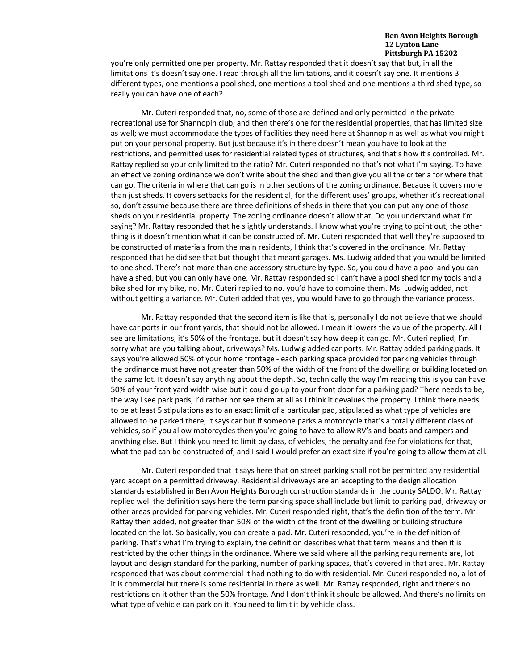you're only permitted one per property. Mr. Rattay responded that it doesn't say that but, in all the limitations it's doesn't say one. I read through all the limitations, and it doesn't say one. It mentions 3 different types, one mentions a pool shed, one mentions a tool shed and one mentions a third shed type, so really you can have one of each?

Mr. Cuteri responded that, no, some of those are defined and only permitted in the private recreational use for Shannopin club, and then there's one for the residential properties, that has limited size as well; we must accommodate the types of facilities they need here at Shannopin as well as what you might put on your personal property. But just because it's in there doesn't mean you have to look at the restrictions, and permitted uses for residential related types of structures, and that's how it's controlled. Mr. Rattay replied so your only limited to the ratio? Mr. Cuteri responded no that's not what I'm saying. To have an effective zoning ordinance we don't write about the shed and then give you all the criteria for where that can go. The criteria in where that can go is in other sections of the zoning ordinance. Because it covers more than just sheds. It covers setbacks for the residential, for the different uses' groups, whether it's recreational so, don't assume because there are three definitions of sheds in there that you can put any one of those sheds on your residential property. The zoning ordinance doesn't allow that. Do you understand what I'm saying? Mr. Rattay responded that he slightly understands. I know what you're trying to point out, the other thing is it doesn't mention what it can be constructed of. Mr. Cuteri responded that well they're supposed to be constructed of materials from the main residents, I think that's covered in the ordinance. Mr. Rattay responded that he did see that but thought that meant garages. Ms. Ludwig added that you would be limited to one shed. There's not more than one accessory structure by type. So, you could have a pool and you can have a shed, but you can only have one. Mr. Rattay responded so I can't have a pool shed for my tools and a bike shed for my bike, no. Mr. Cuteri replied to no. you'd have to combine them. Ms. Ludwig added, not without getting a variance. Mr. Cuteri added that yes, you would have to go through the variance process.

Mr. Rattay responded that the second item is like that is, personally I do not believe that we should have car ports in our front yards, that should not be allowed. I mean it lowers the value of the property. All I see are limitations, it's 50% of the frontage, but it doesn't say how deep it can go. Mr. Cuteri replied, I'm sorry what are you talking about, driveways? Ms. Ludwig added car ports. Mr. Rattay added parking pads. It says you're allowed 50% of your home frontage - each parking space provided for parking vehicles through the ordinance must have not greater than 50% of the width of the front of the dwelling or building located on the same lot. It doesn't say anything about the depth. So, technically the way I'm reading this is you can have 50% of your front yard width wise but it could go up to your front door for a parking pad? There needs to be, the way I see park pads, I'd rather not see them at all as I think it devalues the property. I think there needs to be at least 5 stipulations as to an exact limit of a particular pad, stipulated as what type of vehicles are allowed to be parked there, it says car but if someone parks a motorcycle that's a totally different class of vehicles, so if you allow motorcycles then you're going to have to allow RV's and boats and campers and anything else. But I think you need to limit by class, of vehicles, the penalty and fee for violations for that, what the pad can be constructed of, and I said I would prefer an exact size if you're going to allow them at all.

Mr. Cuteri responded that it says here that on street parking shall not be permitted any residential yard accept on a permitted driveway. Residential driveways are an accepting to the design allocation standards established in Ben Avon Heights Borough construction standards in the county SALDO. Mr. Rattay replied well the definition says here the term parking space shall include but limit to parking pad, driveway or other areas provided for parking vehicles. Mr. Cuteri responded right, that's the definition of the term. Mr. Rattay then added, not greater than 50% of the width of the front of the dwelling or building structure located on the lot. So basically, you can create a pad. Mr. Cuteri responded, you're in the definition of parking. That's what I'm trying to explain, the definition describes what that term means and then it is restricted by the other things in the ordinance. Where we said where all the parking requirements are, lot layout and design standard for the parking, number of parking spaces, that's covered in that area. Mr. Rattay responded that was about commercial it had nothing to do with residential. Mr. Cuteri responded no, a lot of it is commercial but there is some residential in there as well. Mr. Rattay responded, right and there's no restrictions on it other than the 50% frontage. And I don't think it should be allowed. And there's no limits on what type of vehicle can park on it. You need to limit it by vehicle class.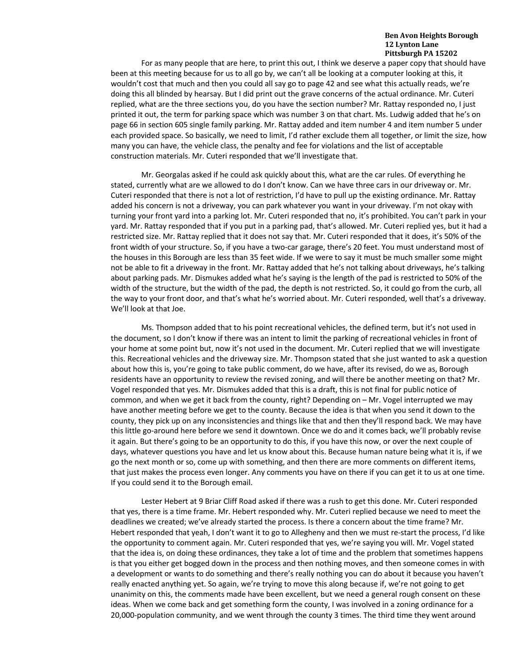For as many people that are here, to print this out, I think we deserve a paper copy that should have been at this meeting because for us to all go by, we can't all be looking at a computer looking at this, it wouldn't cost that much and then you could all say go to page 42 and see what this actually reads, we're doing this all blinded by hearsay. But I did print out the grave concerns of the actual ordinance. Mr. Cuteri replied, what are the three sections you, do you have the section number? Mr. Rattay responded no, I just printed it out, the term for parking space which was number 3 on that chart. Ms. Ludwig added that he's on page 66 in section 605 single family parking. Mr. Rattay added and item number 4 and item number 5 under each provided space. So basically, we need to limit, I'd rather exclude them all together, or limit the size, how many you can have, the vehicle class, the penalty and fee for violations and the list of acceptable construction materials. Mr. Cuteri responded that we'll investigate that.

Mr. Georgalas asked if he could ask quickly about this, what are the car rules. Of everything he stated, currently what are we allowed to do I don't know. Can we have three cars in our driveway or. Mr. Cuteri responded that there is not a lot of restriction, I'd have to pull up the existing ordinance. Mr. Rattay added his concern is not a driveway, you can park whatever you want in your driveway. I'm not okay with turning your front yard into a parking lot. Mr. Cuteri responded that no, it's prohibited. You can't park in your yard. Mr. Rattay responded that if you put in a parking pad, that's allowed. Mr. Cuteri replied yes, but it had a restricted size. Mr. Rattay replied that it does not say that. Mr. Cuteri responded that it does, it's 50% of the front width of your structure. So, if you have a two-car garage, there's 20 feet. You must understand most of the houses in this Borough are less than 35 feet wide. If we were to say it must be much smaller some might not be able to fit a driveway in the front. Mr. Rattay added that he's not talking about driveways, he's talking about parking pads. Mr. Dismukes added what he's saying is the length of the pad is restricted to 50% of the width of the structure, but the width of the pad, the depth is not restricted. So, it could go from the curb, all the way to your front door, and that's what he's worried about. Mr. Cuteri responded, well that's a driveway. We'll look at that Joe.

Ms. Thompson added that to his point recreational vehicles, the defined term, but it's not used in the document, so I don't know if there was an intent to limit the parking of recreational vehicles in front of your home at some point but, now it's not used in the document. Mr. Cuteri replied that we will investigate this. Recreational vehicles and the driveway size. Mr. Thompson stated that she just wanted to ask a question about how this is, you're going to take public comment, do we have, after its revised, do we as, Borough residents have an opportunity to review the revised zoning, and will there be another meeting on that? Mr. Vogel responded that yes. Mr. Dismukes added that this is a draft, this is not final for public notice of common, and when we get it back from the county, right? Depending on – Mr. Vogel interrupted we may have another meeting before we get to the county. Because the idea is that when you send it down to the county, they pick up on any inconsistencies and things like that and then they'll respond back. We may have this little go-around here before we send it downtown. Once we do and it comes back, we'll probably revise it again. But there's going to be an opportunity to do this, if you have this now, or over the next couple of days, whatever questions you have and let us know about this. Because human nature being what it is, if we go the next month or so, come up with something, and then there are more comments on different items, that just makes the process even longer. Any comments you have on there if you can get it to us at one time. If you could send it to the Borough email.

Lester Hebert at 9 Briar Cliff Road asked if there was a rush to get this done. Mr. Cuteri responded that yes, there is a time frame. Mr. Hebert responded why. Mr. Cuteri replied because we need to meet the deadlines we created; we've already started the process. Is there a concern about the time frame? Mr. Hebert responded that yeah, I don't want it to go to Allegheny and then we must re-start the process, I'd like the opportunity to comment again. Mr. Cuteri responded that yes, we're saying you will. Mr. Vogel stated that the idea is, on doing these ordinances, they take a lot of time and the problem that sometimes happens is that you either get bogged down in the process and then nothing moves, and then someone comes in with a development or wants to do something and there's really nothing you can do about it because you haven't really enacted anything yet. So again, we're trying to move this along because if, we're not going to get unanimity on this, the comments made have been excellent, but we need a general rough consent on these ideas. When we come back and get something form the county, I was involved in a zoning ordinance for a 20,000-population community, and we went through the county 3 times. The third time they went around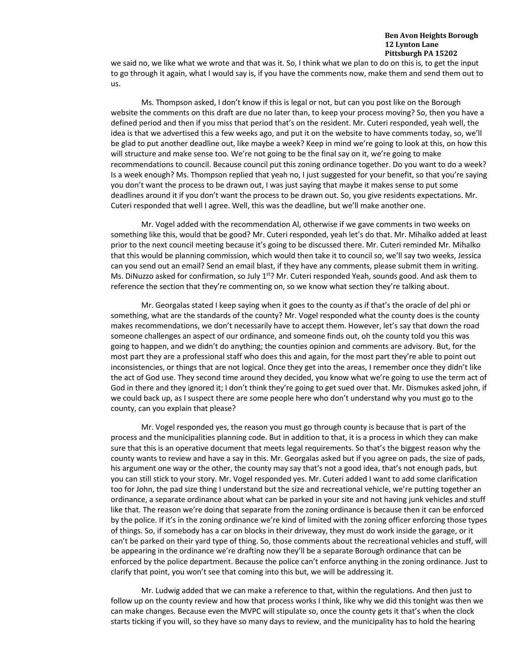we said no, we like what we wrote and that was it. So, I think what we plan to do on this is, to get the input to go through it again, what I would say is, if you have the comments now, make them and send them out to us.

Ms. Thompson asked, I don't know if this is legal or not, but can you post like on the Borough website the comments on this draft are due no later than, to keep your process moving? So, then you have a defined period and then if you miss that period that's on the resident. Mr. Cuteri responded, yeah well, the idea is that we advertised this a few weeks ago, and put it on the website to have comments today, so, we'll be glad to put another deadline out, like maybe a week? Keep in mind we're going to look at this, on how this will structure and make sense too. We're not going to be the final say on it, we're going to make recommendations to council. Because council put this zoning ordinance together. Do you want to do a week? Is a week enough? Ms. Thompson replied that yeah no, I just suggested for your benefit, so that you're saying you don't want the process to be drawn out, I was just saying that maybe it makes sense to put some deadlines around it if you don't want the process to be drawn out. So, you give residents expectations. Mr. Cuteri responded that well I agree. Well, this was the deadline, but we'll make another one.

Mr. Vogel added with the recommendation Al, otherwise if we gave comments in two weeks on something like this, would that be good? Mr. Cuteri responded, yeah let's do that. Mr. Mihalko added at least prior to the next council meeting because it's going to be discussed there. Mr. Cuteri reminded Mr. Mihalko that this would be planning commission, which would then take it to council so, we'll say two weeks, Jessica can you send out an email? Send an email blast, if they have any comments, please submit them in writing. Ms. DiNuzzo asked for confirmation, so July 1<sup>st</sup>? Mr. Cuteri responded Yeah, sounds good. And ask them to reference the section that they're commenting on, so we know what section they're talking about.

Mr. Georgalas stated I keep saying when it goes to the county as if that's the oracle of del phi or something, what are the standards of the county? Mr. Vogel responded what the county does is the county makes recommendations, we don't necessarily have to accept them. However, let's say that down the road someone challenges an aspect of our ordinance, and someone finds out, oh the county told you this was going to happen, and we didn't do anything; the counties opinion and comments are advisory. But, for the most part they are a professional staff who does this and again, for the most part they're able to point out inconsistencies, or things that are not logical. Once they get into the areas, I remember once they didn't like the act of God use. They second time around they decided, you know what we're going to use the term act of God in there and they ignored it; I don't think they're going to get sued over that. Mr. Dismukes asked john, if we could back up, as I suspect there are some people here who don't understand why you must go to the county, can you explain that please?

Mr. Vogel responded yes, the reason you must go through county is because that is part of the process and the municipalities planning code. But in addition to that, it is a process in which they can make sure that this is an operative document that meets legal requirements. So that's the biggest reason why the county wants to review and have a say in this. Mr. Georgalas asked but if you agree on pads, the size of pads, his argument one way or the other, the county may say that's not a good idea, that's not enough pads, but you can still stick to your story. Mr. Vogel responded yes. Mr. Cuteri added I want to add some clarification too for John, the pad size thing I understand but the size and recreational vehicle, we're putting together an ordinance, a separate ordinance about what can be parked in your site and not having junk vehicles and stuff like that. The reason we're doing that separate from the zoning ordinance is because then it can be enforced by the police. If it's in the zoning ordinance we're kind of limited with the zoning officer enforcing those types of things. So, if somebody has a car on blocks in their driveway, they must do work inside the garage, or it can't be parked on their yard type of thing. So, those comments about the recreational vehicles and stuff, will be appearing in the ordinance we're drafting now they'll be a separate Borough ordinance that can be enforced by the police department. Because the police can't enforce anything in the zoning ordinance. Just to clarify that point, you won't see that coming into this but, we will be addressing it.

Mr. Ludwig added that we can make a reference to that, within the regulations. And then just to follow up on the county review and how that process works I think, like why we did this tonight was then we can make changes. Because even the MVPC will stipulate so, once the county gets it that's when the clock starts ticking if you will, so they have so many days to review, and the municipality has to hold the hearing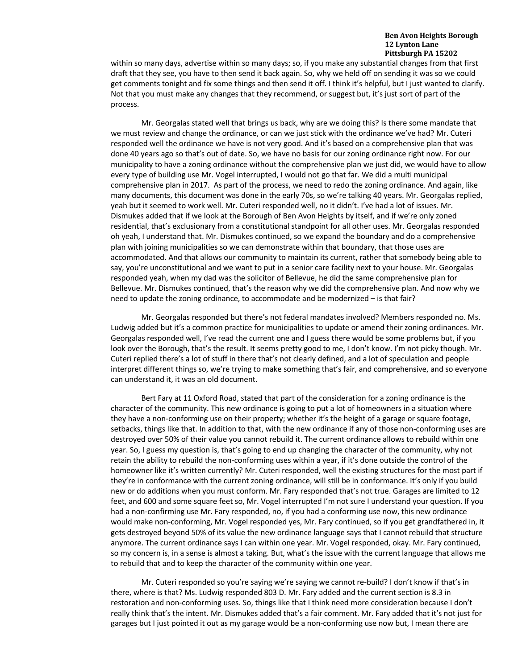within so many days, advertise within so many days; so, if you make any substantial changes from that first draft that they see, you have to then send it back again. So, why we held off on sending it was so we could get comments tonight and fix some things and then send it off. I think it's helpful, but I just wanted to clarify. Not that you must make any changes that they recommend, or suggest but, it's just sort of part of the process.

Mr. Georgalas stated well that brings us back, why are we doing this? Is there some mandate that we must review and change the ordinance, or can we just stick with the ordinance we've had? Mr. Cuteri responded well the ordinance we have is not very good. And it's based on a comprehensive plan that was done 40 years ago so that's out of date. So, we have no basis for our zoning ordinance right now. For our municipality to have a zoning ordinance without the comprehensive plan we just did, we would have to allow every type of building use Mr. Vogel interrupted, I would not go that far. We did a multi municipal comprehensive plan in 2017. As part of the process, we need to redo the zoning ordinance. And again, like many documents, this document was done in the early 70s, so we're talking 40 years. Mr. Georgalas replied, yeah but it seemed to work well. Mr. Cuteri responded well, no it didn't. I've had a lot of issues. Mr. Dismukes added that if we look at the Borough of Ben Avon Heights by itself, and if we're only zoned residential, that's exclusionary from a constitutional standpoint for all other uses. Mr. Georgalas responded oh yeah, I understand that. Mr. Dismukes continued, so we expand the boundary and do a comprehensive plan with joining municipalities so we can demonstrate within that boundary, that those uses are accommodated. And that allows our community to maintain its current, rather that somebody being able to say, you're unconstitutional and we want to put in a senior care facility next to your house. Mr. Georgalas responded yeah, when my dad was the solicitor of Bellevue, he did the same comprehensive plan for Bellevue. Mr. Dismukes continued, that's the reason why we did the comprehensive plan. And now why we need to update the zoning ordinance, to accommodate and be modernized – is that fair?

Mr. Georgalas responded but there's not federal mandates involved? Members responded no. Ms. Ludwig added but it's a common practice for municipalities to update or amend their zoning ordinances. Mr. Georgalas responded well, I've read the current one and I guess there would be some problems but, if you look over the Borough, that's the result. It seems pretty good to me, I don't know. I'm not picky though. Mr. Cuteri replied there's a lot of stuff in there that's not clearly defined, and a lot of speculation and people interpret different things so, we're trying to make something that's fair, and comprehensive, and so everyone can understand it, it was an old document.

Bert Fary at 11 Oxford Road, stated that part of the consideration for a zoning ordinance is the character of the community. This new ordinance is going to put a lot of homeowners in a situation where they have a non-conforming use on their property; whether it's the height of a garage or square footage, setbacks, things like that. In addition to that, with the new ordinance if any of those non-conforming uses are destroyed over 50% of their value you cannot rebuild it. The current ordinance allows to rebuild within one year. So, I guess my question is, that's going to end up changing the character of the community, why not retain the ability to rebuild the non-conforming uses within a year, if it's done outside the control of the homeowner like it's written currently? Mr. Cuteri responded, well the existing structures for the most part if they're in conformance with the current zoning ordinance, will still be in conformance. It's only if you build new or do additions when you must conform. Mr. Fary responded that's not true. Garages are limited to 12 feet, and 600 and some square feet so, Mr. Vogel interrupted I'm not sure I understand your question. If you had a non-confirming use Mr. Fary responded, no, if you had a conforming use now, this new ordinance would make non-conforming, Mr. Vogel responded yes, Mr. Fary continued, so if you get grandfathered in, it gets destroyed beyond 50% of its value the new ordinance language says that I cannot rebuild that structure anymore. The current ordinance says I can within one year. Mr. Vogel responded, okay. Mr. Fary continued, so my concern is, in a sense is almost a taking. But, what's the issue with the current language that allows me to rebuild that and to keep the character of the community within one year.

Mr. Cuteri responded so you're saying we're saying we cannot re-build? I don't know if that's in there, where is that? Ms. Ludwig responded 803 D. Mr. Fary added and the current section is 8.3 in restoration and non-conforming uses. So, things like that I think need more consideration because I don't really think that's the intent. Mr. Dismukes added that's a fair comment. Mr. Fary added that it's not just for garages but I just pointed it out as my garage would be a non-conforming use now but, I mean there are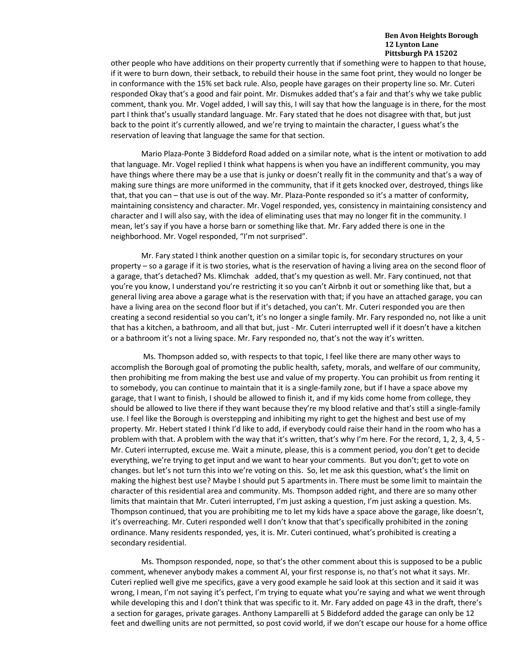other people who have additions on their property currently that if something were to happen to that house, if it were to burn down, their setback, to rebuild their house in the same foot print, they would no longer be in conformance with the 15% set back rule. Also, people have garages on their property line so. Mr. Cuteri responded Okay that's a good and fair point. Mr. Dismukes added that's a fair and that's why we take public comment, thank you. Mr. Vogel added, I will say this, I will say that how the language is in there, for the most part I think that's usually standard language. Mr. Fary stated that he does not disagree with that, but just back to the point it's currently allowed, and we're trying to maintain the character, I guess what's the reservation of leaving that language the same for that section.

Mario Plaza-Ponte 3 Biddeford Road added on a similar note, what is the intent or motivation to add that language. Mr. Vogel replied I think what happens is when you have an indifferent community, you may have things where there may be a use that is junky or doesn't really fit in the community and that's a way of making sure things are more uniformed in the community, that if it gets knocked over, destroyed, things like that, that you can – that use is out of the way. Mr. Plaza-Ponte responded so it's a matter of conformity, maintaining consistency and character. Mr. Vogel responded, yes, consistency in maintaining consistency and character and I will also say, with the idea of eliminating uses that may no longer fit in the community. I mean, let's say if you have a horse barn or something like that. Mr. Fary added there is one in the neighborhood. Mr. Vogel responded, "I'm not surprised".

Mr. Fary stated I think another question on a similar topic is, for secondary structures on your property – so a garage if it is two stories, what is the reservation of having a living area on the second floor of a garage, that's detached? Ms. Klimchak added, that's my question as well. Mr. Fary continued, not that you're you know, I understand you're restricting it so you can't Airbnb it out or something like that, but a general living area above a garage what is the reservation with that; if you have an attached garage, you can have a living area on the second floor but if it's detached, you can't. Mr. Cuteri responded you are then creating a second residential so you can't, it's no longer a single family. Mr. Fary responded no, not like a unit that has a kitchen, a bathroom, and all that but, just - Mr. Cuteri interrupted well if it doesn't have a kitchen or a bathroom it's not a living space. Mr. Fary responded no, that's not the way it's written.

Ms. Thompson added so, with respects to that topic, I feel like there are many other ways to accomplish the Borough goal of promoting the public health, safety, morals, and welfare of our community, then prohibiting me from making the best use and value of my property. You can prohibit us from renting it to somebody, you can continue to maintain that it is a single-family zone, but if I have a space above my garage, that I want to finish, I should be allowed to finish it, and if my kids come home from college, they should be allowed to live there if they want because they're my blood relative and that's still a single-family use. I feel like the Borough is overstepping and inhibiting my right to get the highest and best use of my property. Mr. Hebert stated I think I'd like to add, if everybody could raise their hand in the room who has a problem with that. A problem with the way that it's written, that's why I'm here. For the record, 1, 2, 3, 4, 5 - Mr. Cuteri interrupted, excuse me. Wait a minute, please, this is a comment period, you don't get to decide everything, we're trying to get input and we want to hear your comments. But you don't; get to vote on changes. but let's not turn this into we're voting on this. So, let me ask this question, what's the limit on making the highest best use? Maybe I should put 5 apartments in. There must be some limit to maintain the character of this residential area and community. Ms. Thompson added right, and there are so many other limits that maintain that Mr. Cuteri interrupted, I'm just asking a question, I'm just asking a question. Ms. Thompson continued, that you are prohibiting me to let my kids have a space above the garage, like doesn't, it's overreaching. Mr. Cuteri responded well I don't know that that's specifically prohibited in the zoning ordinance. Many residents responded, yes, it is. Mr. Cuteri continued, what's prohibited is creating a secondary residential.

Ms. Thompson responded, nope, so that's the other comment about this is supposed to be a public comment, whenever anybody makes a comment Al, your first response is, no that's not what it says. Mr. Cuteri replied well give me specifics, gave a very good example he said look at this section and it said it was wrong, I mean, I'm not saying it's perfect, I'm trying to equate what you're saying and what we went through while developing this and I don't think that was specific to it. Mr. Fary added on page 43 in the draft, there's a section for garages, private garages. Anthony Lamparelli at 5 Biddeford added the garage can only be 12 feet and dwelling units are not permitted, so post covid world, if we don't escape our house for a home office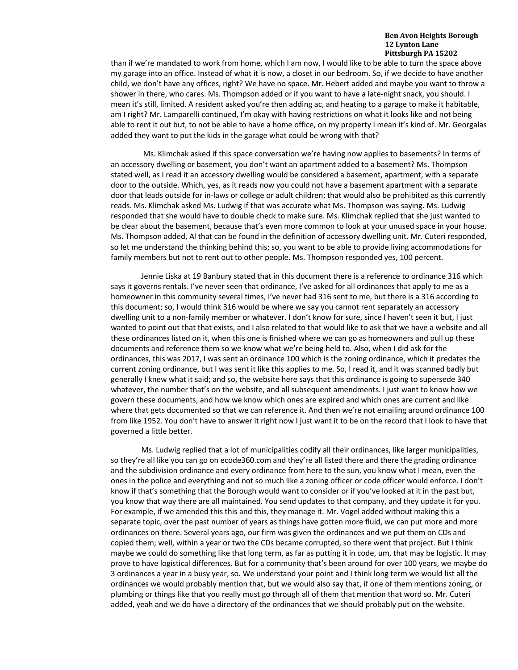than if we're mandated to work from home, which I am now, I would like to be able to turn the space above my garage into an office. Instead of what it is now, a closet in our bedroom. So, if we decide to have another child, we don't have any offices, right? We have no space. Mr. Hebert added and maybe you want to throw a shower in there, who cares. Ms. Thompson added or if you want to have a late-night snack, you should. I mean it's still, limited. A resident asked you're then adding ac, and heating to a garage to make it habitable, am I right? Mr. Lamparelli continued, I'm okay with having restrictions on what it looks like and not being able to rent it out but, to not be able to have a home office, on my property I mean it's kind of. Mr. Georgalas added they want to put the kids in the garage what could be wrong with that?

Ms. Klimchak asked if this space conversation we're having now applies to basements? In terms of an accessory dwelling or basement, you don't want an apartment added to a basement? Ms. Thompson stated well, as I read it an accessory dwelling would be considered a basement, apartment, with a separate door to the outside. Which, yes, as it reads now you could not have a basement apartment with a separate door that leads outside for in-laws or college or adult children; that would also be prohibited as this currently reads. Ms. Klimchak asked Ms. Ludwig if that was accurate what Ms. Thompson was saying. Ms. Ludwig responded that she would have to double check to make sure. Ms. Klimchak replied that she just wanted to be clear about the basement, because that's even more common to look at your unused space in your house. Ms. Thompson added, Al that can be found in the definition of accessory dwelling unit. Mr. Cuteri responded, so let me understand the thinking behind this; so, you want to be able to provide living accommodations for family members but not to rent out to other people. Ms. Thompson responded yes, 100 percent.

Jennie Liska at 19 Banbury stated that in this document there is a reference to ordinance 316 which says it governs rentals. I've never seen that ordinance, I've asked for all ordinances that apply to me as a homeowner in this community several times, I've never had 316 sent to me, but there is a 316 according to this document; so, I would think 316 would be where we say you cannot rent separately an accessory dwelling unit to a non-family member or whatever. I don't know for sure, since I haven't seen it but, I just wanted to point out that that exists, and I also related to that would like to ask that we have a website and all these ordinances listed on it, when this one is finished where we can go as homeowners and pull up these documents and reference them so we know what we're being held to. Also, when I did ask for the ordinances, this was 2017, I was sent an ordinance 100 which is the zoning ordinance, which it predates the current zoning ordinance, but I was sent it like this applies to me. So, I read it, and it was scanned badly but generally I knew what it said; and so, the website here says that this ordinance is going to supersede 340 whatever, the number that's on the website, and all subsequent amendments. I just want to know how we govern these documents, and how we know which ones are expired and which ones are current and like where that gets documented so that we can reference it. And then we're not emailing around ordinance 100 from like 1952. You don't have to answer it right now I just want it to be on the record that I look to have that governed a little better.

Ms. Ludwig replied that a lot of municipalities codify all their ordinances, like larger municipalities, so they're all like you can go on ecode360.com and they're all listed there and there the grading ordinance and the subdivision ordinance and every ordinance from here to the sun, you know what I mean, even the ones in the police and everything and not so much like a zoning officer or code officer would enforce. I don't know if that's something that the Borough would want to consider or if you've looked at it in the past but, you know that way there are all maintained. You send updates to that company, and they update it for you. For example, if we amended this this and this, they manage it. Mr. Vogel added without making this a separate topic, over the past number of years as things have gotten more fluid, we can put more and more ordinances on there. Several years ago, our firm was given the ordinances and we put them on CDs and copied them; well, within a year or two the CDs became corrupted, so there went that project. But I think maybe we could do something like that long term, as far as putting it in code, um, that may be logistic. It may prove to have logistical differences. But for a community that's been around for over 100 years, we maybe do 3 ordinances a year in a busy year, so. We understand your point and I think long term we would list all the ordinances we would probably mention that, but we would also say that, if one of them mentions zoning, or plumbing or things like that you really must go through all of them that mention that word so. Mr. Cuteri added, yeah and we do have a directory of the ordinances that we should probably put on the website.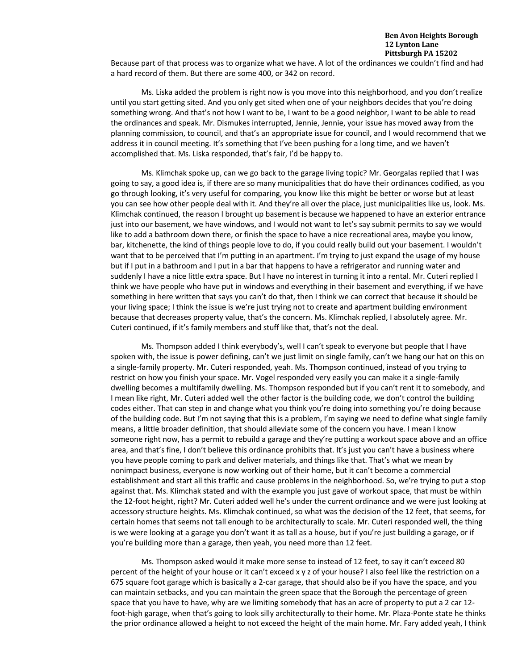Because part of that process was to organize what we have. A lot of the ordinances we couldn't find and had a hard record of them. But there are some 400, or 342 on record.

Ms. Liska added the problem is right now is you move into this neighborhood, and you don't realize until you start getting sited. And you only get sited when one of your neighbors decides that you're doing something wrong. And that's not how I want to be, I want to be a good neighbor, I want to be able to read the ordinances and speak. Mr. Dismukes interrupted, Jennie, Jennie, your issue has moved away from the planning commission, to council, and that's an appropriate issue for council, and I would recommend that we address it in council meeting. It's something that I've been pushing for a long time, and we haven't accomplished that. Ms. Liska responded, that's fair, I'd be happy to.

Ms. Klimchak spoke up, can we go back to the garage living topic? Mr. Georgalas replied that I was going to say, a good idea is, if there are so many municipalities that do have their ordinances codified, as you go through looking, it's very useful for comparing, you know like this might be better or worse but at least you can see how other people deal with it. And they're all over the place, just municipalities like us, look. Ms. Klimchak continued, the reason I brought up basement is because we happened to have an exterior entrance just into our basement, we have windows, and I would not want to let's say submit permits to say we would like to add a bathroom down there, or finish the space to have a nice recreational area, maybe you know, bar, kitchenette, the kind of things people love to do, if you could really build out your basement. I wouldn't want that to be perceived that I'm putting in an apartment. I'm trying to just expand the usage of my house but if I put in a bathroom and I put in a bar that happens to have a refrigerator and running water and suddenly I have a nice little extra space. But I have no interest in turning it into a rental. Mr. Cuteri replied I think we have people who have put in windows and everything in their basement and everything, if we have something in here written that says you can't do that, then I think we can correct that because it should be your living space; I think the issue is we're just trying not to create and apartment building environment because that decreases property value, that's the concern. Ms. Klimchak replied, I absolutely agree. Mr. Cuteri continued, if it's family members and stuff like that, that's not the deal.

Ms. Thompson added I think everybody's, well I can't speak to everyone but people that I have spoken with, the issue is power defining, can't we just limit on single family, can't we hang our hat on this on a single-family property. Mr. Cuteri responded, yeah. Ms. Thompson continued, instead of you trying to restrict on how you finish your space. Mr. Vogel responded very easily you can make it a single-family dwelling becomes a multifamily dwelling. Ms. Thompson responded but if you can't rent it to somebody, and I mean like right, Mr. Cuteri added well the other factor is the building code, we don't control the building codes either. That can step in and change what you think you're doing into something you're doing because of the building code. But I'm not saying that this is a problem, I'm saying we need to define what single family means, a little broader definition, that should alleviate some of the concern you have. I mean I know someone right now, has a permit to rebuild a garage and they're putting a workout space above and an office area, and that's fine, I don't believe this ordinance prohibits that. It's just you can't have a business where you have people coming to park and deliver materials, and things like that. That's what we mean by nonimpact business, everyone is now working out of their home, but it can't become a commercial establishment and start all this traffic and cause problems in the neighborhood. So, we're trying to put a stop against that. Ms. Klimchak stated and with the example you just gave of workout space, that must be within the 12-foot height, right? Mr. Cuteri added well he's under the current ordinance and we were just looking at accessory structure heights. Ms. Klimchak continued, so what was the decision of the 12 feet, that seems, for certain homes that seems not tall enough to be architecturally to scale. Mr. Cuteri responded well, the thing is we were looking at a garage you don't want it as tall as a house, but if you're just building a garage, or if you're building more than a garage, then yeah, you need more than 12 feet.

Ms. Thompson asked would it make more sense to instead of 12 feet, to say it can't exceed 80 percent of the height of your house or it can't exceed x y z of your house? I also feel like the restriction on a 675 square foot garage which is basically a 2-car garage, that should also be if you have the space, and you can maintain setbacks, and you can maintain the green space that the Borough the percentage of green space that you have to have, why are we limiting somebody that has an acre of property to put a 2 car 12 foot-high garage, when that's going to look silly architecturally to their home. Mr. Plaza-Ponte state he thinks the prior ordinance allowed a height to not exceed the height of the main home. Mr. Fary added yeah, I think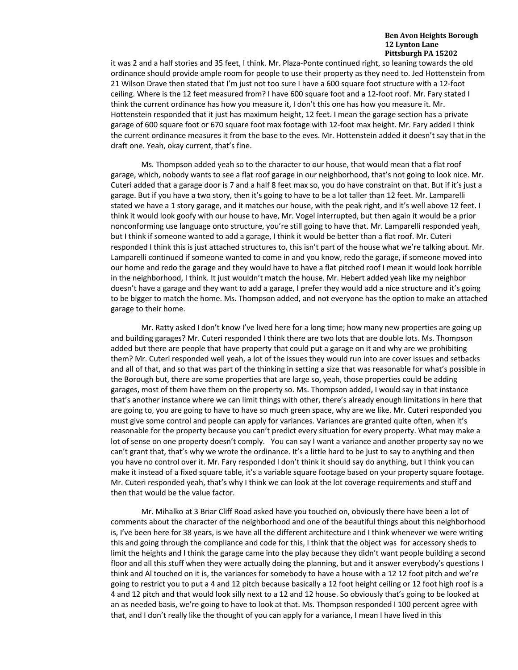it was 2 and a half stories and 35 feet, I think. Mr. Plaza-Ponte continued right, so leaning towards the old ordinance should provide ample room for people to use their property as they need to. Jed Hottenstein from 21 Wilson Drave then stated that I'm just not too sure I have a 600 square foot structure with a 12-foot ceiling. Where is the 12 feet measured from? I have 600 square foot and a 12-foot roof. Mr. Fary stated I think the current ordinance has how you measure it, I don't this one has how you measure it. Mr. Hottenstein responded that it just has maximum height, 12 feet. I mean the garage section has a private garage of 600 square foot or 670 square foot max footage with 12-foot max height. Mr. Fary added I think the current ordinance measures it from the base to the eves. Mr. Hottenstein added it doesn't say that in the draft one. Yeah, okay current, that's fine.

Ms. Thompson added yeah so to the character to our house, that would mean that a flat roof garage, which, nobody wants to see a flat roof garage in our neighborhood, that's not going to look nice. Mr. Cuteri added that a garage door is 7 and a half 8 feet max so, you do have constraint on that. But if it's just a garage. But if you have a two story, then it's going to have to be a lot taller than 12 feet. Mr. Lamparelli stated we have a 1 story garage, and it matches our house, with the peak right, and it's well above 12 feet. I think it would look goofy with our house to have, Mr. Vogel interrupted, but then again it would be a prior nonconforming use language onto structure, you're still going to have that. Mr. Lamparelli responded yeah, but I think if someone wanted to add a garage, I think it would be better than a flat roof. Mr. Cuteri responded I think this is just attached structures to, this isn't part of the house what we're talking about. Mr. Lamparelli continued if someone wanted to come in and you know, redo the garage, if someone moved into our home and redo the garage and they would have to have a flat pitched roof I mean it would look horrible in the neighborhood, I think. It just wouldn't match the house. Mr. Hebert added yeah like my neighbor doesn't have a garage and they want to add a garage, I prefer they would add a nice structure and it's going to be bigger to match the home. Ms. Thompson added, and not everyone has the option to make an attached garage to their home.

Mr. Ratty asked I don't know I've lived here for a long time; how many new properties are going up and building garages? Mr. Cuteri responded I think there are two lots that are double lots. Ms. Thompson added but there are people that have property that could put a garage on it and why are we prohibiting them? Mr. Cuteri responded well yeah, a lot of the issues they would run into are cover issues and setbacks and all of that, and so that was part of the thinking in setting a size that was reasonable for what's possible in the Borough but, there are some properties that are large so, yeah, those properties could be adding garages, most of them have them on the property so. Ms. Thompson added, I would say in that instance that's another instance where we can limit things with other, there's already enough limitations in here that are going to, you are going to have to have so much green space, why are we like. Mr. Cuteri responded you must give some control and people can apply for variances. Variances are granted quite often, when it's reasonable for the property because you can't predict every situation for every property. What may make a lot of sense on one property doesn't comply. You can say I want a variance and another property say no we can't grant that, that's why we wrote the ordinance. It's a little hard to be just to say to anything and then you have no control over it. Mr. Fary responded I don't think it should say do anything, but I think you can make it instead of a fixed square table, it's a variable square footage based on your property square footage. Mr. Cuteri responded yeah, that's why I think we can look at the lot coverage requirements and stuff and then that would be the value factor.

Mr. Mihalko at 3 Briar Cliff Road asked have you touched on, obviously there have been a lot of comments about the character of the neighborhood and one of the beautiful things about this neighborhood is, I've been here for 38 years, is we have all the different architecture and I think whenever we were writing this and going through the compliance and code for this, I think that the object was for accessory sheds to limit the heights and I think the garage came into the play because they didn't want people building a second floor and all this stuff when they were actually doing the planning, but and it answer everybody's questions I think and Al touched on it is, the variances for somebody to have a house with a 12 12 foot pitch and we're going to restrict you to put a 4 and 12 pitch because basically a 12 foot height ceiling or 12 foot high roof is a 4 and 12 pitch and that would look silly next to a 12 and 12 house. So obviously that's going to be looked at an as needed basis, we're going to have to look at that. Ms. Thompson responded I 100 percent agree with that, and I don't really like the thought of you can apply for a variance, I mean I have lived in this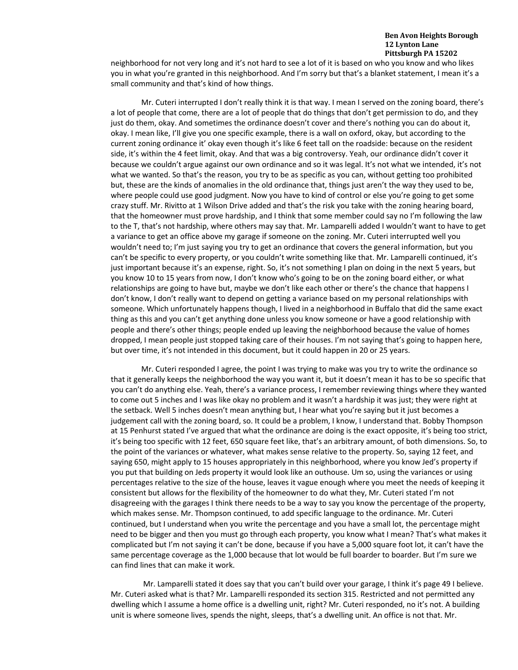neighborhood for not very long and it's not hard to see a lot of it is based on who you know and who likes you in what you're granted in this neighborhood. And I'm sorry but that's a blanket statement, I mean it's a small community and that's kind of how things.

Mr. Cuteri interrupted I don't really think it is that way. I mean I served on the zoning board, there's a lot of people that come, there are a lot of people that do things that don't get permission to do, and they just do them, okay. And sometimes the ordinance doesn't cover and there's nothing you can do about it, okay. I mean like, I'll give you one specific example, there is a wall on oxford, okay, but according to the current zoning ordinance it' okay even though it's like 6 feet tall on the roadside: because on the resident side, it's within the 4 feet limit, okay. And that was a big controversy. Yeah, our ordinance didn't cover it because we couldn't argue against our own ordinance and so it was legal. It's not what we intended, it's not what we wanted. So that's the reason, you try to be as specific as you can, without getting too prohibited but, these are the kinds of anomalies in the old ordinance that, things just aren't the way they used to be, where people could use good judgment. Now you have to kind of control or else you're going to get some crazy stuff. Mr. Rivitto at 1 Wilson Drive added and that's the risk you take with the zoning hearing board, that the homeowner must prove hardship, and I think that some member could say no I'm following the law to the T, that's not hardship, where others may say that. Mr. Lamparelli added I wouldn't want to have to get a variance to get an office above my garage if someone on the zoning. Mr. Cuteri interrupted well you wouldn't need to; I'm just saying you try to get an ordinance that covers the general information, but you can't be specific to every property, or you couldn't write something like that. Mr. Lamparelli continued, it's just important because it's an expense, right. So, it's not something I plan on doing in the next 5 years, but you know 10 to 15 years from now, I don't know who's going to be on the zoning board either, or what relationships are going to have but, maybe we don't like each other or there's the chance that happens I don't know, I don't really want to depend on getting a variance based on my personal relationships with someone. Which unfortunately happens though, I lived in a neighborhood in Buffalo that did the same exact thing as this and you can't get anything done unless you know someone or have a good relationship with people and there's other things; people ended up leaving the neighborhood because the value of homes dropped, I mean people just stopped taking care of their houses. I'm not saying that's going to happen here, but over time, it's not intended in this document, but it could happen in 20 or 25 years.

Mr. Cuteri responded I agree, the point I was trying to make was you try to write the ordinance so that it generally keeps the neighborhood the way you want it, but it doesn't mean it has to be so specific that you can't do anything else. Yeah, there's a variance process, I remember reviewing things where they wanted to come out 5 inches and I was like okay no problem and it wasn't a hardship it was just; they were right at the setback. Well 5 inches doesn't mean anything but, I hear what you're saying but it just becomes a judgement call with the zoning board, so. It could be a problem, I know, I understand that. Bobby Thompson at 15 Penhurst stated I've argued that what the ordinance are doing is the exact opposite, it's being too strict, it's being too specific with 12 feet, 650 square feet like, that's an arbitrary amount, of both dimensions. So, to the point of the variances or whatever, what makes sense relative to the property. So, saying 12 feet, and saying 650, might apply to 15 houses appropriately in this neighborhood, where you know Jed's property if you put that building on Jeds property it would look like an outhouse. Um so, using the variances or using percentages relative to the size of the house, leaves it vague enough where you meet the needs of keeping it consistent but allows for the flexibility of the homeowner to do what they, Mr. Cuteri stated I'm not disagreeing with the garages I think there needs to be a way to say you know the percentage of the property, which makes sense. Mr. Thompson continued, to add specific language to the ordinance. Mr. Cuteri continued, but I understand when you write the percentage and you have a small lot, the percentage might need to be bigger and then you must go through each property, you know what I mean? That's what makes it complicated but I'm not saying it can't be done, because if you have a 5,000 square foot lot, it can't have the same percentage coverage as the 1,000 because that lot would be full boarder to boarder. But I'm sure we can find lines that can make it work.

Mr. Lamparelli stated it does say that you can't build over your garage, I think it's page 49 I believe. Mr. Cuteri asked what is that? Mr. Lamparelli responded its section 315. Restricted and not permitted any dwelling which I assume a home office is a dwelling unit, right? Mr. Cuteri responded, no it's not. A building unit is where someone lives, spends the night, sleeps, that's a dwelling unit. An office is not that. Mr.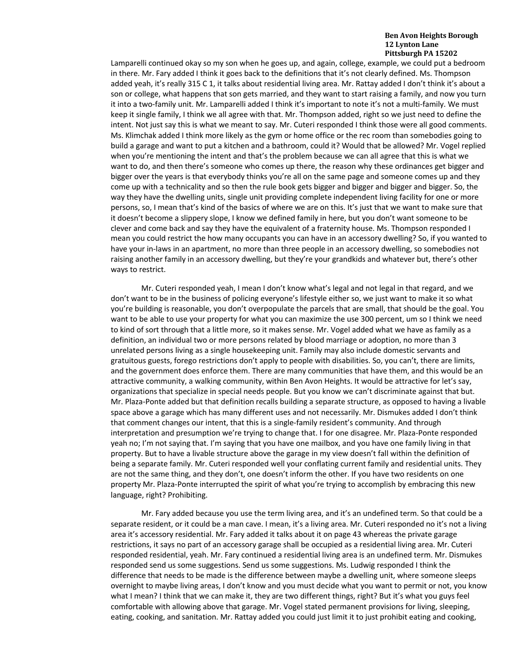Lamparelli continued okay so my son when he goes up, and again, college, example, we could put a bedroom in there. Mr. Fary added I think it goes back to the definitions that it's not clearly defined. Ms. Thompson added yeah, it's really 315 C 1, it talks about residential living area. Mr. Rattay added I don't think it's about a son or college, what happens that son gets married, and they want to start raising a family, and now you turn it into a two-family unit. Mr. Lamparelli added I think it's important to note it's not a multi-family. We must keep it single family, I think we all agree with that. Mr. Thompson added, right so we just need to define the intent. Not just say this is what we meant to say. Mr. Cuteri responded I think those were all good comments. Ms. Klimchak added I think more likely as the gym or home office or the rec room than somebodies going to build a garage and want to put a kitchen and a bathroom, could it? Would that be allowed? Mr. Vogel replied when you're mentioning the intent and that's the problem because we can all agree that this is what we want to do, and then there's someone who comes up there, the reason why these ordinances get bigger and bigger over the years is that everybody thinks you're all on the same page and someone comes up and they come up with a technicality and so then the rule book gets bigger and bigger and bigger and bigger. So, the way they have the dwelling units, single unit providing complete independent living facility for one or more persons, so, I mean that's kind of the basics of where we are on this. It's just that we want to make sure that it doesn't become a slippery slope, I know we defined family in here, but you don't want someone to be clever and come back and say they have the equivalent of a fraternity house. Ms. Thompson responded I mean you could restrict the how many occupants you can have in an accessory dwelling? So, if you wanted to have your in-laws in an apartment, no more than three people in an accessory dwelling, so somebodies not raising another family in an accessory dwelling, but they're your grandkids and whatever but, there's other ways to restrict.

Mr. Cuteri responded yeah, I mean I don't know what's legal and not legal in that regard, and we don't want to be in the business of policing everyone's lifestyle either so, we just want to make it so what you're building is reasonable, you don't overpopulate the parcels that are small, that should be the goal. You want to be able to use your property for what you can maximize the use 300 percent, um so I think we need to kind of sort through that a little more, so it makes sense. Mr. Vogel added what we have as family as a definition, an individual two or more persons related by blood marriage or adoption, no more than 3 unrelated persons living as a single housekeeping unit. Family may also include domestic servants and gratuitous guests, forego restrictions don't apply to people with disabilities. So, you can't, there are limits, and the government does enforce them. There are many communities that have them, and this would be an attractive community, a walking community, within Ben Avon Heights. It would be attractive for let's say, organizations that specialize in special needs people. But you know we can't discriminate against that but. Mr. Plaza-Ponte added but that definition recalls building a separate structure, as opposed to having a livable space above a garage which has many different uses and not necessarily. Mr. Dismukes added I don't think that comment changes our intent, that this is a single-family resident's community. And through interpretation and presumption we're trying to change that. I for one disagree. Mr. Plaza-Ponte responded yeah no; I'm not saying that. I'm saying that you have one mailbox, and you have one family living in that property. But to have a livable structure above the garage in my view doesn't fall within the definition of being a separate family. Mr. Cuteri responded well your conflating current family and residential units. They are not the same thing, and they don't, one doesn't inform the other. If you have two residents on one property Mr. Plaza-Ponte interrupted the spirit of what you're trying to accomplish by embracing this new language, right? Prohibiting.

Mr. Fary added because you use the term living area, and it's an undefined term. So that could be a separate resident, or it could be a man cave. I mean, it's a living area. Mr. Cuteri responded no it's not a living area it's accessory residential. Mr. Fary added it talks about it on page 43 whereas the private garage restrictions, it says no part of an accessory garage shall be occupied as a residential living area. Mr. Cuteri responded residential, yeah. Mr. Fary continued a residential living area is an undefined term. Mr. Dismukes responded send us some suggestions. Send us some suggestions. Ms. Ludwig responded I think the difference that needs to be made is the difference between maybe a dwelling unit, where someone sleeps overnight to maybe living areas, I don't know and you must decide what you want to permit or not, you know what I mean? I think that we can make it, they are two different things, right? But it's what you guys feel comfortable with allowing above that garage. Mr. Vogel stated permanent provisions for living, sleeping, eating, cooking, and sanitation. Mr. Rattay added you could just limit it to just prohibit eating and cooking,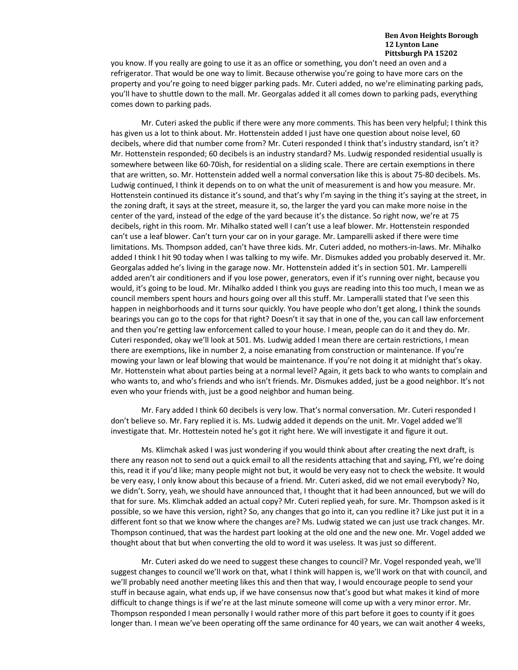you know. If you really are going to use it as an office or something, you don't need an oven and a refrigerator. That would be one way to limit. Because otherwise you're going to have more cars on the property and you're going to need bigger parking pads. Mr. Cuteri added, no we're eliminating parking pads, you'll have to shuttle down to the mall. Mr. Georgalas added it all comes down to parking pads, everything comes down to parking pads.

Mr. Cuteri asked the public if there were any more comments. This has been very helpful; I think this has given us a lot to think about. Mr. Hottenstein added I just have one question about noise level, 60 decibels, where did that number come from? Mr. Cuteri responded I think that's industry standard, isn't it? Mr. Hottenstein responded; 60 decibels is an industry standard? Ms. Ludwig responded residential usually is somewhere between like 60-70ish, for residential on a sliding scale. There are certain exemptions in there that are written, so. Mr. Hottenstein added well a normal conversation like this is about 75-80 decibels. Ms. Ludwig continued, I think it depends on to on what the unit of measurement is and how you measure. Mr. Hottenstein continued its distance it's sound, and that's why I'm saying in the thing it's saying at the street, in the zoning draft, it says at the street, measure it, so, the larger the yard you can make more noise in the center of the yard, instead of the edge of the yard because it's the distance. So right now, we're at 75 decibels, right in this room. Mr. Mihalko stated well I can't use a leaf blower. Mr. Hottenstein responded can't use a leaf blower. Can't turn your car on in your garage. Mr. Lamparelli asked if there were time limitations. Ms. Thompson added, can't have three kids. Mr. Cuteri added, no mothers-in-laws. Mr. Mihalko added I think I hit 90 today when I was talking to my wife. Mr. Dismukes added you probably deserved it. Mr. Georgalas added he's living in the garage now. Mr. Hottenstein added it's in section 501. Mr. Lamperelli added aren't air conditioners and if you lose power, generators, even if it's running over night, because you would, it's going to be loud. Mr. Mihalko added I think you guys are reading into this too much, I mean we as council members spent hours and hours going over all this stuff. Mr. Lamperalli stated that I've seen this happen in neighborhoods and it turns sour quickly. You have people who don't get along, I think the sounds bearings you can go to the cops for that right? Doesn't it say that in one of the, you can call law enforcement and then you're getting law enforcement called to your house. I mean, people can do it and they do. Mr. Cuteri responded, okay we'll look at 501. Ms. Ludwig added I mean there are certain restrictions, I mean there are exemptions, like in number 2, a noise emanating from construction or maintenance. If you're mowing your lawn or leaf blowing that would be maintenance. If you're not doing it at midnight that's okay. Mr. Hottenstein what about parties being at a normal level? Again, it gets back to who wants to complain and who wants to, and who's friends and who isn't friends. Mr. Dismukes added, just be a good neighbor. It's not even who your friends with, just be a good neighbor and human being.

Mr. Fary added I think 60 decibels is very low. That's normal conversation. Mr. Cuteri responded I don't believe so. Mr. Fary replied it is. Ms. Ludwig added it depends on the unit. Mr. Vogel added we'll investigate that. Mr. Hottestein noted he's got it right here. We will investigate it and figure it out.

Ms. Klimchak asked I was just wondering if you would think about after creating the next draft, is there any reason not to send out a quick email to all the residents attaching that and saying, FYI, we're doing this, read it if you'd like; many people might not but, it would be very easy not to check the website. It would be very easy, I only know about this because of a friend. Mr. Cuteri asked, did we not email everybody? No, we didn't. Sorry, yeah, we should have announced that, I thought that it had been announced, but we will do that for sure. Ms. Klimchak added an actual copy? Mr. Cuteri replied yeah, for sure. Mr. Thompson asked is it possible, so we have this version, right? So, any changes that go into it, can you redline it? Like just put it in a different font so that we know where the changes are? Ms. Ludwig stated we can just use track changes. Mr. Thompson continued, that was the hardest part looking at the old one and the new one. Mr. Vogel added we thought about that but when converting the old to word it was useless. It was just so different.

Mr. Cuteri asked do we need to suggest these changes to council? Mr. Vogel responded yeah, we'll suggest changes to council we'll work on that, what I think will happen is, we'll work on that with council, and we'll probably need another meeting likes this and then that way, I would encourage people to send your stuff in because again, what ends up, if we have consensus now that's good but what makes it kind of more difficult to change things is if we're at the last minute someone will come up with a very minor error. Mr. Thompson responded I mean personally I would rather more of this part before it goes to county if it goes longer than. I mean we've been operating off the same ordinance for 40 years, we can wait another 4 weeks,